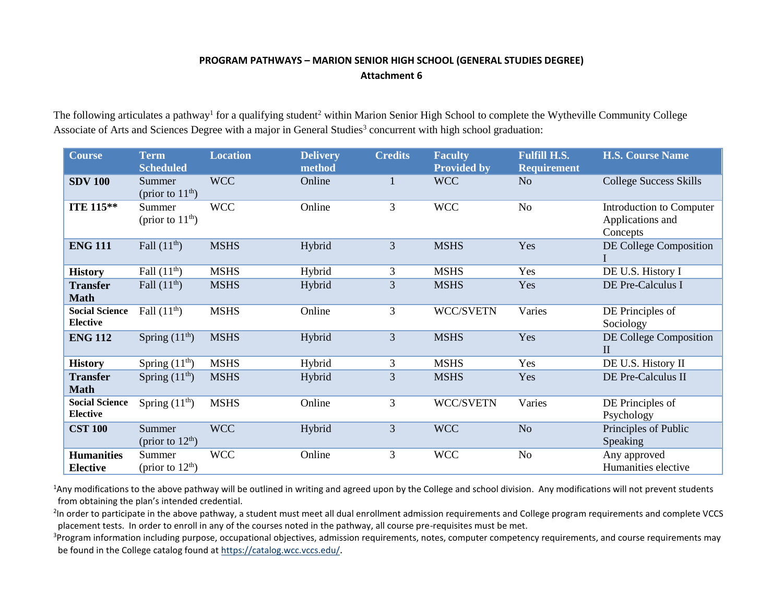## **PROGRAM PATHWAYS – MARION SENIOR HIGH SCHOOL (GENERAL STUDIES DEGREE) Attachment 6**

The following articulates a pathway<sup>1</sup> for a qualifying student<sup>2</sup> within Marion Senior High School to complete the Wytheville Community College Associate of Arts and Sciences Degree with a major in General Studies<sup>3</sup> concurrent with high school graduation:

| <b>Course</b>                            | <b>Term</b><br><b>Scheduled</b> | <b>Location</b> | <b>Delivery</b><br>method | <b>Credits</b> | <b>Faculty</b><br><b>Provided by</b> | <b>Fulfill H.S.</b><br><b>Requirement</b> | <b>H.S. Course Name</b>                                  |
|------------------------------------------|---------------------------------|-----------------|---------------------------|----------------|--------------------------------------|-------------------------------------------|----------------------------------------------------------|
| <b>SDV 100</b>                           | Summer<br>(prior to $11th$ )    | <b>WCC</b>      | Online                    |                | <b>WCC</b>                           | N <sub>o</sub>                            | <b>College Success Skills</b>                            |
| <b>ITE 115**</b>                         | Summer<br>(prior to $11th$ )    | <b>WCC</b>      | Online                    | 3              | <b>WCC</b>                           | N <sub>o</sub>                            | Introduction to Computer<br>Applications and<br>Concepts |
| <b>ENG 111</b>                           | Fall $(11^{\text{th}})$         | <b>MSHS</b>     | Hybrid                    | 3              | <b>MSHS</b>                          | Yes                                       | DE College Composition                                   |
| <b>History</b>                           | Fall $(11th)$                   | <b>MSHS</b>     | Hybrid                    | 3              | <b>MSHS</b>                          | Yes                                       | DE U.S. History I                                        |
| <b>Transfer</b><br><b>Math</b>           | Fall $(11th)$                   | <b>MSHS</b>     | Hybrid                    | 3              | <b>MSHS</b>                          | Yes                                       | DE Pre-Calculus I                                        |
| <b>Social Science</b><br><b>Elective</b> | Fall $(11th)$                   | <b>MSHS</b>     | Online                    | 3              | WCC/SVETN                            | Varies                                    | DE Principles of<br>Sociology                            |
| <b>ENG 112</b>                           | Spring $(11th)$                 | <b>MSHS</b>     | Hybrid                    | 3              | <b>MSHS</b>                          | Yes                                       | DE College Composition<br>$\mathbf{I}$                   |
| <b>History</b>                           | Spring $(11th)$                 | <b>MSHS</b>     | Hybrid                    | 3              | <b>MSHS</b>                          | Yes                                       | DE U.S. History II                                       |
| <b>Transfer</b><br><b>Math</b>           | Spring $(11th)$                 | <b>MSHS</b>     | Hybrid                    | $\overline{3}$ | <b>MSHS</b>                          | Yes                                       | DE Pre-Calculus II                                       |
| <b>Social Science</b><br><b>Elective</b> | Spring $(11th)$                 | <b>MSHS</b>     | Online                    | 3              | WCC/SVETN                            | Varies                                    | DE Principles of<br>Psychology                           |
| <b>CST 100</b>                           | Summer<br>(prior to $12th$ )    | <b>WCC</b>      | Hybrid                    | 3              | <b>WCC</b>                           | N <sub>o</sub>                            | Principles of Public<br>Speaking                         |
| <b>Humanities</b><br><b>Elective</b>     | Summer<br>(prior to $12th$ )    | <b>WCC</b>      | Online                    | 3              | <b>WCC</b>                           | N <sub>o</sub>                            | Any approved<br>Humanities elective                      |

<sup>1</sup>Any modifications to the above pathway will be outlined in writing and agreed upon by the College and school division. Any modifications will not prevent students from obtaining the plan's intended credential.

<sup>2</sup>In order to participate in the above pathway, a student must meet all dual enrollment admission requirements and College program requirements and complete VCCS placement tests. In order to enroll in any of the courses noted in the pathway, all course pre-requisites must be met.

<sup>3</sup>Program information including purpose, occupational objectives, admission requirements, notes, computer competency requirements, and course requirements may be found in the College catalog found a[t https://catalog.wcc.vccs.edu/](https://catalog.wcc.vccs.edu/).